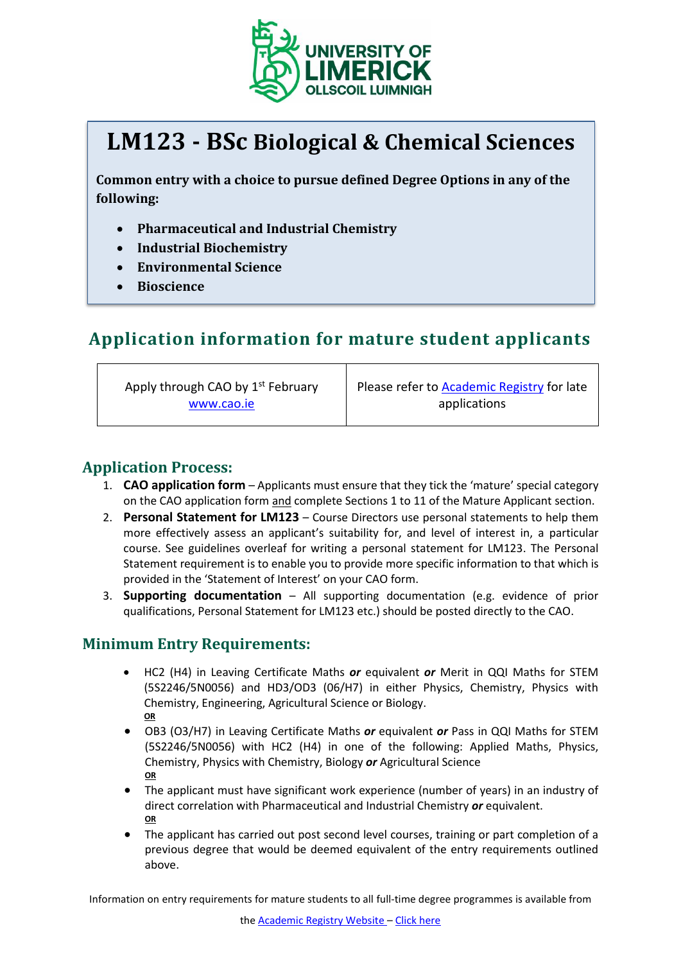

# **LM123 - BSc Biological & Chemical Sciences**

**Common entry with a choice to pursue defined Degree Options in any of the following:**

- **Pharmaceutical and Industrial Chemistry**
- **Industrial Biochemistry**
- **Environmental Science**
- **Bioscience**

## **Application information for mature student applicants**

Apply through CAO by 1<sup>st</sup> February [www.cao.ie](http://www.cao.ie/)

Please refer to [Academic Registry](https://www.ul.ie/academic-registry/prospective-students/applying-ul) for late applications

#### **Application Process:**

- 1. **CAO application form** Applicants must ensure that they tick the 'mature' special category on the CAO application form and complete Sections 1 to 11 of the Mature Applicant section.
- 2. **Personal Statement for LM123** Course Directors use personal statements to help them more effectively assess an applicant's suitability for, and level of interest in, a particular course. See guidelines overleaf for writing a personal statement for LM123. The Personal Statement requirement is to enable you to provide more specific information to that which is provided in the 'Statement of Interest' on your CAO form.
- 3. **Supporting documentation** All supporting documentation (e.g. evidence of prior qualifications, Personal Statement for LM123 etc.) should be posted directly to the CAO.

#### **Minimum Entry Requirements:**

- HC2 (H4) in Leaving Certificate Maths *or* equivalent *or* Merit in QQI Maths for STEM (5S2246/5N0056) and HD3/OD3 (06/H7) in either Physics, Chemistry, Physics with Chemistry, Engineering, Agricultural Science or Biology. **OR**
- OB3 (O3/H7) in Leaving Certificate Maths *or* equivalent *or* Pass in QQI Maths for STEM (5S2246/5N0056) with HC2 (H4) in one of the following: Applied Maths, Physics, Chemistry, Physics with Chemistry, Biology *or* Agricultural Science **OR**
- The applicant must have significant work experience (number of years) in an industry of direct correlation with Pharmaceutical and Industrial Chemistry *or* equivalent. **OR**
- The applicant has carried out post second level courses, training or part completion of a previous degree that would be deemed equivalent of the entry requirements outlined above.

Information on entry requirements for mature students to all full-time degree programmes is available from